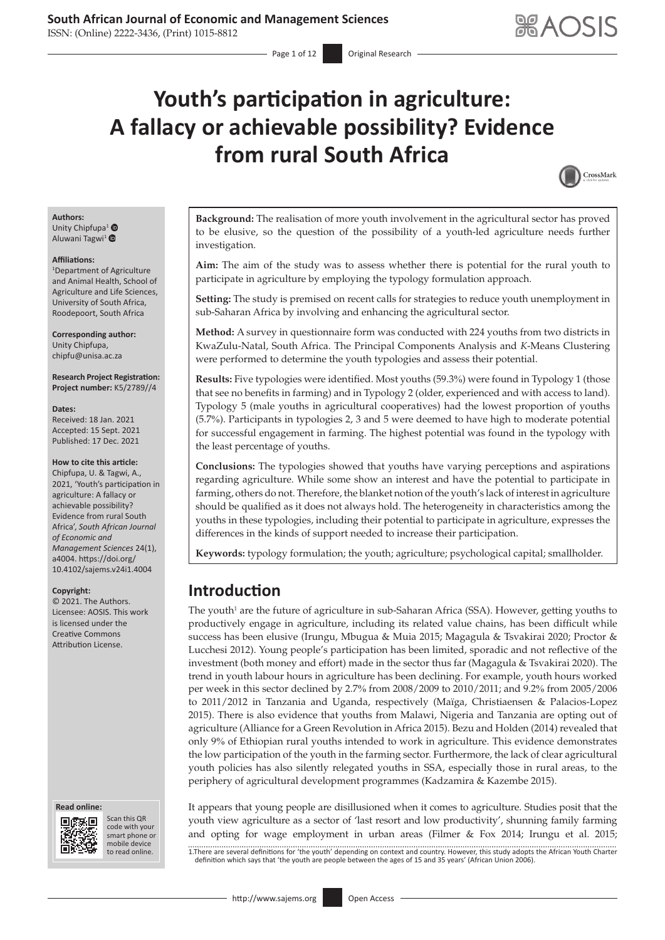# **Youth's participation in agriculture: A fallacy or achievable possibility? Evidence from rural South Africa**

- Page 1 of 12 **Original Research** 



#### **Authors:** Unity Chipfupa<sup>[1](https://orcid.org/0000-0001-9759-9301)</sup> <sup>®</sup>

Aluwani Tagwi<sup>[1](https://orcid.org/0000-0001-9701-3171)</sup>

#### **Affiliations:**

1 Department of Agriculture and Animal Health, School of Agriculture and Life Sciences, University of South Africa, Roodepoort, South Africa

**Corresponding author:** Unity Chipfupa, [chipfu@unisa.ac.za](mailto:chipfu@unisa.ac.za)

**Research Project Registration: Project number:** K5/2789//4

#### **Dates:**

Received: 18 Jan. 2021 Accepted: 15 Sept. 2021 Published: 17 Dec. 2021

#### **How to cite this article:**

Chipfupa, U. & Tagwi, A., 2021, 'Youth's participation in agriculture: A fallacy or achievable possibility? Evidence from rural South Africa', *South African Journal of Economic and Management Sciences* 24(1), a4004. [https://doi.org/](https://doi.org/10.4102/sajems.v24i1.4004) [10.4102/sajems.v24i1.4004](https://doi.org/10.4102/sajems.v24i1.4004)

#### **Copyright:**

© 2021. The Authors. Licensee: AOSIS. This work is licensed under the Creative Commons Attribution License.

#### **Read online: Read online:**



Scan this QR code with your Scan this QR<br>code with your<br>smart phone or<br>mobile device mobile device to read online. to read online.

**Background:** The realisation of more youth involvement in the agricultural sector has proved to be elusive, so the question of the possibility of a youth-led agriculture needs further investigation.

**Aim:** The aim of the study was to assess whether there is potential for the rural youth to participate in agriculture by employing the typology formulation approach.

**Setting:** The study is premised on recent calls for strategies to reduce youth unemployment in sub-Saharan Africa by involving and enhancing the agricultural sector.

**Method:** A survey in questionnaire form was conducted with 224 youths from two districts in KwaZulu-Natal, South Africa. The Principal Components Analysis and *K*-Means Clustering were performed to determine the youth typologies and assess their potential.

**Results:** Five typologies were identified. Most youths (59.3%) were found in Typology 1 (those that see no benefits in farming) and in Typology 2 (older, experienced and with access to land). Typology 5 (male youths in agricultural cooperatives) had the lowest proportion of youths (5.7%). Participants in typologies 2, 3 and 5 were deemed to have high to moderate potential for successful engagement in farming. The highest potential was found in the typology with the least percentage of youths.

**Conclusions:** The typologies showed that youths have varying perceptions and aspirations regarding agriculture. While some show an interest and have the potential to participate in farming, others do not. Therefore, the blanket notion of the youth's lack of interest in agriculture should be qualified as it does not always hold. The heterogeneity in characteristics among the youths in these typologies, including their potential to participate in agriculture, expresses the differences in the kinds of support needed to increase their participation.

**Keywords:** typology formulation; the youth; agriculture; psychological capital; smallholder.

### **Introduction**

The youth<sup>1</sup> are the future of agriculture in sub-Saharan Africa (SSA). However, getting youths to productively engage in agriculture, including its related value chains, has been difficult while success has been elusive (Irungu, Mbugua & Muia 2015; Magagula & Tsvakirai 2020; Proctor & Lucchesi 2012). Young people's participation has been limited, sporadic and not reflective of the investment (both money and effort) made in the sector thus far (Magagula & Tsvakirai 2020). The trend in youth labour hours in agriculture has been declining. For example, youth hours worked per week in this sector declined by 2.7% from 2008/2009 to 2010/2011; and 9.2% from 2005/2006 to 2011/2012 in Tanzania and Uganda, respectively (Maïga, Christiaensen & Palacios-Lopez 2015). There is also evidence that youths from Malawi, Nigeria and Tanzania are opting out of agriculture (Alliance for a Green Revolution in Africa 2015). Bezu and Holden (2014) revealed that only 9% of Ethiopian rural youths intended to work in agriculture. This evidence demonstrates the low participation of the youth in the farming sector. Furthermore, the lack of clear agricultural youth policies has also silently relegated youths in SSA, especially those in rural areas, to the periphery of agricultural development programmes (Kadzamira & Kazembe 2015).

It appears that young people are disillusioned when it comes to agriculture. Studies posit that the youth view agriculture as a sector of 'last resort and low productivity', shunning family farming and opting for wage employment in urban areas (Filmer & Fox 2014; Irungu et al. 2015;

1.There are several definitions for 'the youth' depending on context and country. However, this study adopts the African Youth Charter<br>definition which says that 'the youth are people between the ages of 15 and 35 years' (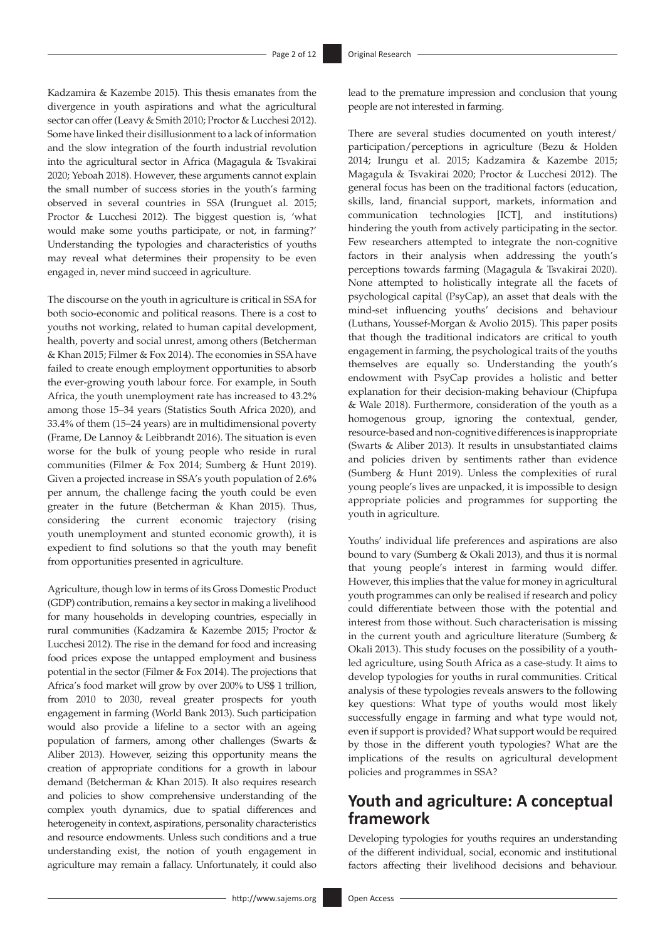Kadzamira & Kazembe 2015). This thesis emanates from the divergence in youth aspirations and what the agricultural sector can offer (Leavy & Smith 2010; Proctor & Lucchesi 2012). Some have linked their disillusionment to a lack of information and the slow integration of the fourth industrial revolution into the agricultural sector in Africa (Magagula & Tsvakirai 2020; Yeboah 2018). However, these arguments cannot explain the small number of success stories in the youth's farming observed in several countries in SSA (Irunguet al. 2015; Proctor & Lucchesi 2012). The biggest question is, 'what would make some youths participate, or not, in farming?' Understanding the typologies and characteristics of youths may reveal what determines their propensity to be even engaged in, never mind succeed in agriculture.

The discourse on the youth in agriculture is critical in SSA for both socio-economic and political reasons. There is a cost to youths not working, related to human capital development, health, poverty and social unrest, among others (Betcherman & Khan 2015; Filmer & Fox 2014). The economies in SSA have failed to create enough employment opportunities to absorb the ever-growing youth labour force. For example, in South Africa, the youth unemployment rate has increased to 43.2% among those 15–34 years (Statistics South Africa 2020), and 33.4% of them (15–24 years) are in multidimensional poverty (Frame, De Lannoy & Leibbrandt 2016). The situation is even worse for the bulk of young people who reside in rural communities (Filmer & Fox 2014; Sumberg & Hunt 2019). Given a projected increase in SSA's youth population of 2.6% per annum, the challenge facing the youth could be even greater in the future (Betcherman & Khan 2015). Thus, considering the current economic trajectory (rising youth unemployment and stunted economic growth), it is expedient to find solutions so that the youth may benefit from opportunities presented in agriculture.

Agriculture, though low in terms of its Gross Domestic Product (GDP) contribution, remains a key sector in making a livelihood for many households in developing countries, especially in rural communities (Kadzamira & Kazembe 2015; Proctor & Lucchesi 2012). The rise in the demand for food and increasing food prices expose the untapped employment and business potential in the sector (Filmer & Fox 2014). The projections that Africa's food market will grow by over 200% to US\$ 1 trillion, from 2010 to 2030, reveal greater prospects for youth engagement in farming (World Bank 2013). Such participation would also provide a lifeline to a sector with an ageing population of farmers, among other challenges (Swarts & Aliber 2013). However, seizing this opportunity means the creation of appropriate conditions for a growth in labour demand (Betcherman & Khan 2015). It also requires research and policies to show comprehensive understanding of the complex youth dynamics, due to spatial differences and heterogeneity in context, aspirations, personality characteristics and resource endowments. Unless such conditions and a true understanding exist, the notion of youth engagement in agriculture may remain a fallacy. Unfortunately, it could also lead to the premature impression and conclusion that young people are not interested in farming.

There are several studies documented on youth interest/ participation/perceptions in agriculture (Bezu & Holden 2014; Irungu et al. 2015; Kadzamira & Kazembe 2015; Magagula & Tsvakirai 2020; Proctor & Lucchesi 2012). The general focus has been on the traditional factors (education, skills, land, financial support, markets, information and communication technologies [ICT], and institutions) hindering the youth from actively participating in the sector. Few researchers attempted to integrate the non-cognitive factors in their analysis when addressing the youth's perceptions towards farming (Magagula & Tsvakirai 2020). None attempted to holistically integrate all the facets of psychological capital (PsyCap), an asset that deals with the mind-set influencing youths' decisions and behaviour (Luthans, Youssef-Morgan & Avolio 2015). This paper posits that though the traditional indicators are critical to youth engagement in farming, the psychological traits of the youths themselves are equally so. Understanding the youth's endowment with PsyCap provides a holistic and better explanation for their decision-making behaviour (Chipfupa & Wale 2018). Furthermore, consideration of the youth as a homogenous group, ignoring the contextual, gender, resource-based and non-cognitive differences is inappropriate (Swarts & Aliber 2013). It results in unsubstantiated claims and policies driven by sentiments rather than evidence (Sumberg & Hunt 2019). Unless the complexities of rural young people's lives are unpacked, it is impossible to design appropriate policies and programmes for supporting the youth in agriculture.

Youths' individual life preferences and aspirations are also bound to vary (Sumberg & Okali 2013), and thus it is normal that young people's interest in farming would differ. However, this implies that the value for money in agricultural youth programmes can only be realised if research and policy could differentiate between those with the potential and interest from those without. Such characterisation is missing in the current youth and agriculture literature (Sumberg & Okali 2013). This study focuses on the possibility of a youthled agriculture, using South Africa as a case-study. It aims to develop typologies for youths in rural communities. Critical analysis of these typologies reveals answers to the following key questions: What type of youths would most likely successfully engage in farming and what type would not, even if support is provided? What support would be required by those in the different youth typologies? What are the implications of the results on agricultural development policies and programmes in SSA?

### **Youth and agriculture: A conceptual framework**

Developing typologies for youths requires an understanding of the different individual, social, economic and institutional factors affecting their livelihood decisions and behaviour.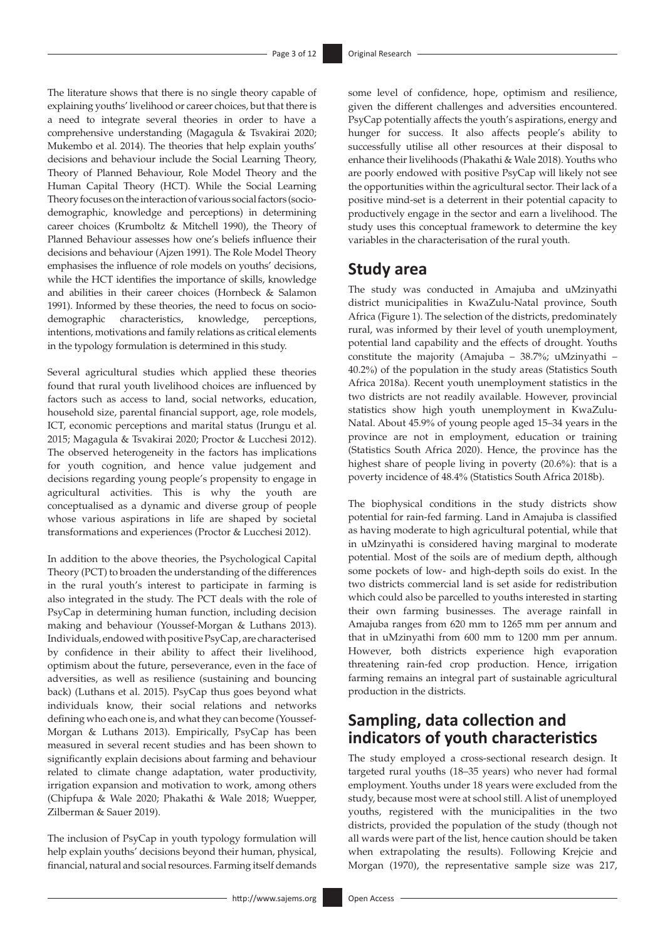The literature shows that there is no single theory capable of explaining youths' livelihood or career choices, but that there is a need to integrate several theories in order to have a comprehensive understanding (Magagula & Tsvakirai 2020; Mukembo et al. 2014). The theories that help explain youths' decisions and behaviour include the Social Learning Theory, Theory of Planned Behaviour, Role Model Theory and the Human Capital Theory (HCT). While the Social Learning Theory focuses on the interaction of various social factors (sociodemographic, knowledge and perceptions) in determining career choices (Krumboltz & Mitchell 1990), the Theory of Planned Behaviour assesses how one's beliefs influence their decisions and behaviour (Ajzen 1991). The Role Model Theory emphasises the influence of role models on youths' decisions, while the HCT identifies the importance of skills, knowledge and abilities in their career choices (Hornbeck & Salamon 1991). Informed by these theories, the need to focus on sociodemographic characteristics, knowledge, perceptions, intentions, motivations and family relations as critical elements in the typology formulation is determined in this study.

Several agricultural studies which applied these theories found that rural youth livelihood choices are influenced by factors such as access to land, social networks, education, household size, parental financial support, age, role models, ICT, economic perceptions and marital status (Irungu et al. 2015; Magagula & Tsvakirai 2020; Proctor & Lucchesi 2012). The observed heterogeneity in the factors has implications for youth cognition, and hence value judgement and decisions regarding young people's propensity to engage in agricultural activities. This is why the youth are conceptualised as a dynamic and diverse group of people whose various aspirations in life are shaped by societal transformations and experiences (Proctor & Lucchesi 2012).

In addition to the above theories, the Psychological Capital Theory (PCT) to broaden the understanding of the differences in the rural youth's interest to participate in farming is also integrated in the study. The PCT deals with the role of PsyCap in determining human function, including decision making and behaviour (Youssef-Morgan & Luthans 2013). Individuals, endowed with positive PsyCap, are characterised by confidence in their ability to affect their livelihood, optimism about the future, perseverance, even in the face of adversities, as well as resilience (sustaining and bouncing back) (Luthans et al. 2015). PsyCap thus goes beyond what individuals know, their social relations and networks defining who each one is, and what they can become (Youssef-Morgan & Luthans 2013). Empirically, PsyCap has been measured in several recent studies and has been shown to significantly explain decisions about farming and behaviour related to climate change adaptation, water productivity, irrigation expansion and motivation to work, among others (Chipfupa & Wale 2020; Phakathi & Wale 2018; Wuepper, Zilberman & Sauer 2019).

The inclusion of PsyCap in youth typology formulation will help explain youths' decisions beyond their human, physical, financial, natural and social resources. Farming itself demands

some level of confidence, hope, optimism and resilience, given the different challenges and adversities encountered. PsyCap potentially affects the youth's aspirations, energy and hunger for success. It also affects people's ability to successfully utilise all other resources at their disposal to enhance their livelihoods (Phakathi & Wale 2018). Youths who are poorly endowed with positive PsyCap will likely not see the opportunities within the agricultural sector. Their lack of a positive mind-set is a deterrent in their potential capacity to productively engage in the sector and earn a livelihood. The study uses this conceptual framework to determine the key variables in the characterisation of the rural youth.

### **Study area**

The study was conducted in Amajuba and uMzinyathi district municipalities in KwaZulu-Natal province, South Africa (Figure 1). The selection of the districts, predominately rural, was informed by their level of youth unemployment, potential land capability and the effects of drought. Youths constitute the majority (Amajuba – 38.7%; uMzinyathi – 40.2%) of the population in the study areas (Statistics South Africa 2018a). Recent youth unemployment statistics in the two districts are not readily available. However, provincial statistics show high youth unemployment in KwaZulu-Natal. About 45.9% of young people aged 15–34 years in the province are not in employment, education or training (Statistics South Africa 2020). Hence, the province has the highest share of people living in poverty (20.6%): that is a poverty incidence of 48.4% (Statistics South Africa 2018b).

The biophysical conditions in the study districts show potential for rain-fed farming. Land in Amajuba is classified as having moderate to high agricultural potential, while that in uMzinyathi is considered having marginal to moderate potential. Most of the soils are of medium depth, although some pockets of low- and high-depth soils do exist. In the two districts commercial land is set aside for redistribution which could also be parcelled to youths interested in starting their own farming businesses. The average rainfall in Amajuba ranges from 620 mm to 1265 mm per annum and that in uMzinyathi from 600 mm to 1200 mm per annum. However, both districts experience high evaporation threatening rain-fed crop production. Hence, irrigation farming remains an integral part of sustainable agricultural production in the districts.

### **Sampling, data collection and indicators of youth characteristics**

The study employed a cross-sectional research design. It targeted rural youths (18–35 years) who never had formal employment. Youths under 18 years were excluded from the study, because most were at school still. A list of unemployed youths, registered with the municipalities in the two districts, provided the population of the study (though not all wards were part of the list, hence caution should be taken when extrapolating the results). Following Krejcie and Morgan (1970), the representative sample size was 217,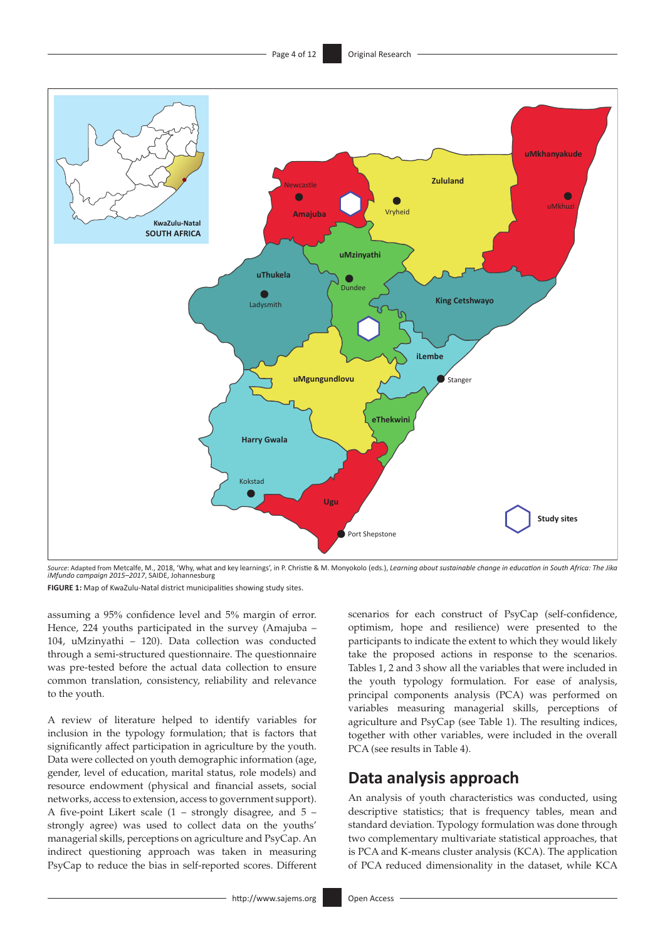

*Source*: Adapted from Metcalfe, M., 2018, 'Why, what and key learnings', in P. Christie & M. Monyokolo (eds.), *Learning about sustainable change in education in South Africa: The Jika iMfundo campaign 2015–2017*, SAIDE, Johannesburg

**FIGURE 1:** Map of KwaZulu-Natal district municipalities showing study sites.

assuming a 95% confidence level and 5% margin of error. Hence, 224 youths participated in the survey (Amajuba – 104, uMzinyathi – 120). Data collection was conducted through a semi-structured questionnaire. The questionnaire was pre-tested before the actual data collection to ensure common translation, consistency, reliability and relevance to the youth.

A review of literature helped to identify variables for inclusion in the typology formulation; that is factors that significantly affect participation in agriculture by the youth. Data were collected on youth demographic information (age, gender, level of education, marital status, role models) and resource endowment (physical and financial assets, social networks, access to extension, access to government support). A five-point Likert scale (1 – strongly disagree, and 5 – strongly agree) was used to collect data on the youths' managerial skills, perceptions on agriculture and PsyCap. An indirect questioning approach was taken in measuring PsyCap to reduce the bias in self-reported scores. Different scenarios for each construct of PsyCap (self-confidence, optimism, hope and resilience) were presented to the participants to indicate the extent to which they would likely take the proposed actions in response to the scenarios. Tables 1, 2 and 3 show all the variables that were included in the youth typology formulation. For ease of analysis, principal components analysis (PCA) was performed on variables measuring managerial skills, perceptions of agriculture and PsyCap (see Table 1). The resulting indices, together with other variables, were included in the overall PCA (see results in Table 4).

### **Data analysis approach**

An analysis of youth characteristics was conducted, using descriptive statistics; that is frequency tables, mean and standard deviation. Typology formulation was done through two complementary multivariate statistical approaches, that is PCA and K-means cluster analysis (KCA). The application of PCA reduced dimensionality in the dataset, while KCA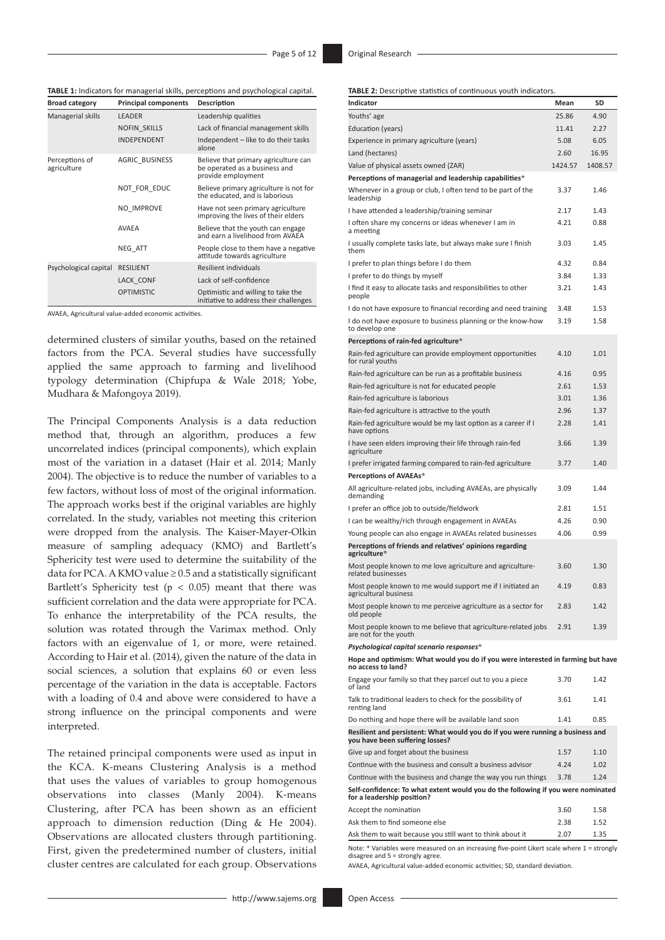**TABLE 1:** Indicators for managerial skills, perceptions and psychological capital.

| <b>Broad category</b>         | <b>Principal components</b> | Description                                                                                 |  |  |
|-------------------------------|-----------------------------|---------------------------------------------------------------------------------------------|--|--|
| Managerial skills             | <b>LEADER</b>               | Leadership qualities                                                                        |  |  |
|                               | <b>NOFIN SKILLS</b>         | Lack of financial management skills                                                         |  |  |
|                               | <b>INDEPENDENT</b>          | Independent - like to do their tasks<br>alone                                               |  |  |
| Perceptions of<br>agriculture | <b>AGRIC BUSINESS</b>       | Believe that primary agriculture can<br>be operated as a business and<br>provide employment |  |  |
|                               | NOT_FOR_EDUC                | Believe primary agriculture is not for<br>the educated, and is laborious                    |  |  |
|                               | NO IMPROVE                  | Have not seen primary agriculture<br>improving the lives of their elders                    |  |  |
|                               | <b>AVAEA</b>                | Believe that the youth can engage<br>and earn a livelihood from AVAEA                       |  |  |
|                               | NEG ATT                     | People close to them have a negative<br>attitude towards agriculture                        |  |  |
| Psychological capital         | <b>RESILIENT</b>            | Resilient individuals                                                                       |  |  |
|                               | LACK CONF                   | Lack of self-confidence                                                                     |  |  |
|                               | <b>OPTIMISTIC</b>           | Optimistic and willing to take the<br>initiative to address their challenges                |  |  |

AVAEA, Agricultural value-added economic activities.

determined clusters of similar youths, based on the retained factors from the PCA. Several studies have successfully applied the same approach to farming and livelihood typology determination (Chipfupa & Wale 2018; Yobe, Mudhara & Mafongoya 2019).

The Principal Components Analysis is a data reduction method that, through an algorithm, produces a few uncorrelated indices (principal components), which explain most of the variation in a dataset (Hair et al. 2014; Manly 2004). The objective is to reduce the number of variables to a few factors, without loss of most of the original information. The approach works best if the original variables are highly correlated. In the study, variables not meeting this criterion were dropped from the analysis. The Kaiser-Mayer-Olkin measure of sampling adequacy (KMO) and Bartlett's Sphericity test were used to determine the suitability of the data for PCA. A KMO value  $\geq 0.5$  and a statistically significant Bartlett's Sphericity test ( $p < 0.05$ ) meant that there was sufficient correlation and the data were appropriate for PCA. To enhance the interpretability of the PCA results, the solution was rotated through the Varimax method. Only factors with an eigenvalue of 1, or more, were retained. According to Hair et al. (2014), given the nature of the data in social sciences, a solution that explains 60 or even less percentage of the variation in the data is acceptable. Factors with a loading of 0.4 and above were considered to have a strong influence on the principal components and were interpreted.

The retained principal components were used as input in the KCA. K-means Clustering Analysis is a method that uses the values of variables to group homogenous observations into classes (Manly 2004). K-means Clustering, after PCA has been shown as an efficient approach to dimension reduction (Ding & He 2004). Observations are allocated clusters through partitioning. First, given the predetermined number of clusters, initial cluster centres are calculated for each group. Observations **TABLE 2:** Descriptive statistics of continuous youth indicators.

| Indicator                                                                                                                       | Mean    | SD      |
|---------------------------------------------------------------------------------------------------------------------------------|---------|---------|
| Youths' age                                                                                                                     | 25.86   | 4.90    |
| Education (years)                                                                                                               | 11.41   | 2.27    |
| Experience in primary agriculture (years)                                                                                       | 5.08    | 6.05    |
| Land (hectares)                                                                                                                 | 2.60    | 16.95   |
| Value of physical assets owned (ZAR)                                                                                            | 1424.57 | 1408.57 |
| Perceptions of managerial and leadership capabilities*                                                                          |         |         |
| Whenever in a group or club, I often tend to be part of the<br>leadership                                                       | 3.37    | 1.46    |
| I have attended a leadership/training seminar                                                                                   | 2.17    | 1.43    |
| I often share my concerns or ideas whenever I am in<br>a meeting                                                                | 4.21    | 0.88    |
| I usually complete tasks late, but always make sure I finish<br>them                                                            | 3.03    | 1.45    |
| I prefer to plan things before I do them                                                                                        | 4.32    | 0.84    |
| I prefer to do things by myself                                                                                                 | 3.84    | 1.33    |
| I find it easy to allocate tasks and responsibilities to other<br>people                                                        | 3.21    | 1.43    |
| I do not have exposure to financial recording and need training                                                                 | 3.48    | 1.53    |
| I do not have exposure to business planning or the know-how<br>to develop one                                                   | 3.19    | 1.58    |
| Perceptions of rain-fed agriculture*                                                                                            |         |         |
| Rain-fed agriculture can provide employment opportunities<br>for rural youths                                                   | 4.10    | 1.01    |
| Rain-fed agriculture can be run as a profitable business                                                                        | 4.16    | 0.95    |
| Rain-fed agriculture is not for educated people                                                                                 | 2.61    | 1.53    |
| Rain-fed agriculture is laborious                                                                                               | 3.01    | 1.36    |
| Rain-fed agriculture is attractive to the youth                                                                                 | 2.96    | 1.37    |
| Rain-fed agriculture would be my last option as a career if I<br>have options                                                   | 2.28    | 1.41    |
| I have seen elders improving their life through rain-fed<br>agriculture                                                         | 3.66    | 1.39    |
| I prefer irrigated farming compared to rain-fed agriculture<br>Perceptions of AVAEAs*                                           | 3.77    | 1.40    |
| All agriculture-related jobs, including AVAEAs, are physically<br>demanding                                                     | 3.09    | 1.44    |
| I prefer an office job to outside/fieldwork                                                                                     | 2.81    | 1.51    |
| I can be wealthy/rich through engagement in AVAEAs                                                                              | 4.26    | 0.90    |
| Young people can also engage in AVAEAs related businesses                                                                       | 4.06    | 0.99    |
| Perceptions of friends and relatives' opinions regarding<br>agriculture*                                                        |         |         |
| Most people known to me love agriculture and agriculture-<br>related businesses                                                 | 3.60    | 1.30    |
| Most people known to me would support me if I initiated an<br>agricultural business                                             | 4.19    | 0.83    |
| Most people known to me perceive agriculture as a sector for<br>old people                                                      | 2.83    | 1.42    |
| Most people known to me believe that agriculture-related jobs<br>are not for the youth                                          | 2.91    | 1.39    |
| Psychological capital scenario responses*                                                                                       |         |         |
| Hope and optimism: What would you do if you were interested in farming but have<br>no access to land?                           |         |         |
| Engage your family so that they parcel out to you a piece<br>of land                                                            | 3.70    | 1.42    |
| Talk to traditional leaders to check for the possibility of<br>renting land                                                     | 3.61    | 1.41    |
| Do nothing and hope there will be available land soon                                                                           | 1.41    | 0.85    |
| Resilient and persistent: What would you do if you were running a business and<br>you have been suffering losses?               |         |         |
| Give up and forget about the business                                                                                           | 1.57    | 1.10    |
| Continue with the business and consult a business advisor                                                                       | 4.24    | 1.02    |
| Continue with the business and change the way you run things                                                                    | 3.78    | 1.24    |
| Self-confidence: To what extent would you do the following if you were nominated<br>for a leadership position?                  |         |         |
| Accept the nomination                                                                                                           | 3.60    | 1.58    |
| Ask them to find someone else                                                                                                   | 2.38    | 1.52    |
| Ask them to wait because you still want to think about it                                                                       | 2.07    | 1.35    |
| Note: * Variables were measured on an increasing five-point Likert scale where 1 = strongly<br>disagree and 5 = strongly agree. |         |         |

AVAEA, Agricultural value-added economic activities; SD, standard deviation.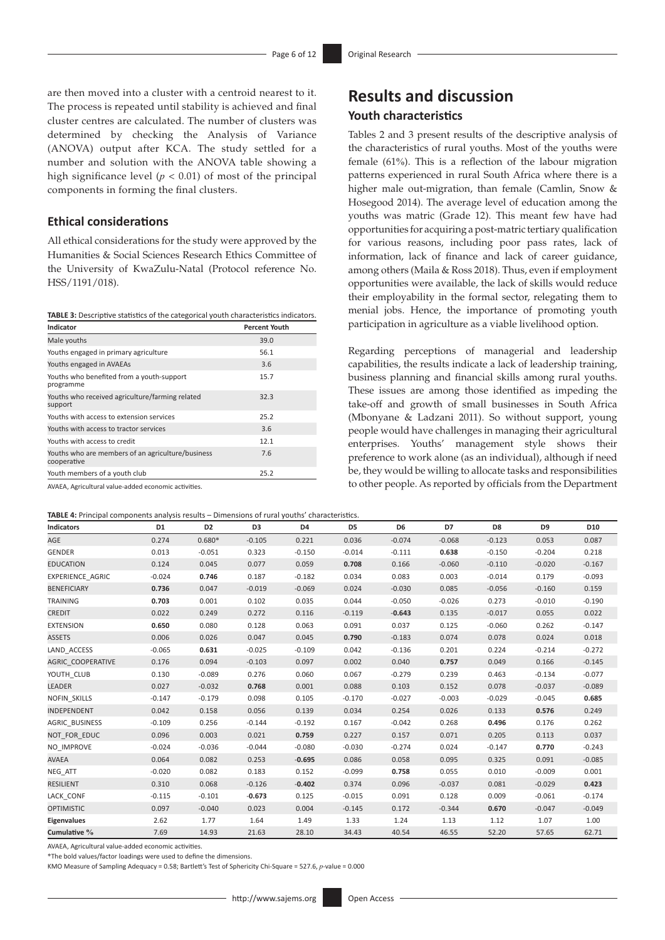are then moved into a cluster with a centroid nearest to it. The process is repeated until stability is achieved and final cluster centres are calculated. The number of clusters was determined by checking the Analysis of Variance (ANOVA) output after KCA. The study settled for a number and solution with the ANOVA table showing a high significance level (*p* < 0.01) of most of the principal components in forming the final clusters.

#### **Ethical considerations**

All ethical considerations for the study were approved by the Humanities & Social Sciences Research Ethics Committee of the University of KwaZulu-Natal (Protocol reference No. HSS/1191/018).

**TABLE 3:** Descriptive statistics of the categorical youth characteristics indicators.

| Indicator                                                        | <b>Percent Youth</b> |
|------------------------------------------------------------------|----------------------|
| Male youths                                                      | 39.0                 |
| Youths engaged in primary agriculture                            | 56.1                 |
| Youths engaged in AVAEAs                                         | 3.6                  |
| Youths who benefited from a youth-support<br>programme           | 15.7                 |
| Youths who received agriculture/farming related<br>support       | 32.3                 |
| Youths with access to extension services                         | 25.2                 |
| Youths with access to tractor services                           | 3.6                  |
| Youths with access to credit                                     | 12.1                 |
| Youths who are members of an agriculture/business<br>cooperative | 7.6                  |
| Youth members of a youth club                                    | 25.2                 |

AVAEA, Agricultural value-added economic activities.

**TABLE 4:** Principal components analysis results – Dimensions of rural youths' characteristics.

### **Results and discussion Youth characteristics**

Tables 2 and 3 present results of the descriptive analysis of the characteristics of rural youths. Most of the youths were female (61%). This is a reflection of the labour migration patterns experienced in rural South Africa where there is a higher male out-migration, than female (Camlin, Snow & Hosegood 2014). The average level of education among the youths was matric (Grade 12). This meant few have had opportunities for acquiring a post-matric tertiary qualification for various reasons, including poor pass rates, lack of information, lack of finance and lack of career guidance, among others (Maila & Ross 2018). Thus, even if employment opportunities were available, the lack of skills would reduce their employability in the formal sector, relegating them to menial jobs. Hence, the importance of promoting youth participation in agriculture as a viable livelihood option.

Regarding perceptions of managerial and leadership capabilities, the results indicate a lack of leadership training, business planning and financial skills among rural youths. These issues are among those identified as impeding the take-off and growth of small businesses in South Africa (Mbonyane & Ladzani 2011). So without support, young people would have challenges in managing their agricultural enterprises. Youths' management style shows their preference to work alone (as an individual), although if need be, they would be willing to allocate tasks and responsibilities to other people. As reported by officials from the Department

| Indicators               | D1       | D <sub>2</sub> | D3       | D4       | D5       | D6       | D7       | D8       | D <sub>9</sub> | D10      |
|--------------------------|----------|----------------|----------|----------|----------|----------|----------|----------|----------------|----------|
| AGE                      | 0.274    | $0.680*$       | $-0.105$ | 0.221    | 0.036    | $-0.074$ | $-0.068$ | $-0.123$ | 0.053          | 0.087    |
| GENDER                   | 0.013    | $-0.051$       | 0.323    | $-0.150$ | $-0.014$ | $-0.111$ | 0.638    | $-0.150$ | $-0.204$       | 0.218    |
| <b>EDUCATION</b>         | 0.124    | 0.045          | 0.077    | 0.059    | 0.708    | 0.166    | $-0.060$ | $-0.110$ | $-0.020$       | $-0.167$ |
| EXPERIENCE AGRIC         | $-0.024$ | 0.746          | 0.187    | $-0.182$ | 0.034    | 0.083    | 0.003    | $-0.014$ | 0.179          | $-0.093$ |
| <b>BENEFICIARY</b>       | 0.736    | 0.047          | $-0.019$ | $-0.069$ | 0.024    | $-0.030$ | 0.085    | $-0.056$ | $-0.160$       | 0.159    |
| <b>TRAINING</b>          | 0.703    | 0.001          | 0.102    | 0.035    | 0.044    | $-0.050$ | $-0.026$ | 0.273    | $-0.010$       | $-0.190$ |
| <b>CREDIT</b>            | 0.022    | 0.249          | 0.272    | 0.116    | $-0.119$ | $-0.643$ | 0.135    | $-0.017$ | 0.055          | 0.022    |
| <b>EXTENSION</b>         | 0.650    | 0.080          | 0.128    | 0.063    | 0.091    | 0.037    | 0.125    | $-0.060$ | 0.262          | $-0.147$ |
| <b>ASSETS</b>            | 0.006    | 0.026          | 0.047    | 0.045    | 0.790    | $-0.183$ | 0.074    | 0.078    | 0.024          | 0.018    |
| LAND ACCESS              | $-0.065$ | 0.631          | $-0.025$ | $-0.109$ | 0.042    | $-0.136$ | 0.201    | 0.224    | $-0.214$       | $-0.272$ |
| <b>AGRIC COOPERATIVE</b> | 0.176    | 0.094          | $-0.103$ | 0.097    | 0.002    | 0.040    | 0.757    | 0.049    | 0.166          | $-0.145$ |
| YOUTH CLUB               | 0.130    | $-0.089$       | 0.276    | 0.060    | 0.067    | $-0.279$ | 0.239    | 0.463    | $-0.134$       | $-0.077$ |
| <b>LEADER</b>            | 0.027    | $-0.032$       | 0.768    | 0.001    | 0.088    | 0.103    | 0.152    | 0.078    | $-0.037$       | $-0.089$ |
| <b>NOFIN SKILLS</b>      | $-0.147$ | $-0.179$       | 0.098    | 0.105    | $-0.170$ | $-0.027$ | $-0.003$ | $-0.029$ | $-0.045$       | 0.685    |
| <b>INDEPENDENT</b>       | 0.042    | 0.158          | 0.056    | 0.139    | 0.034    | 0.254    | 0.026    | 0.133    | 0.576          | 0.249    |
| AGRIC_BUSINESS           | $-0.109$ | 0.256          | $-0.144$ | $-0.192$ | 0.167    | $-0.042$ | 0.268    | 0.496    | 0.176          | 0.262    |
| NOT FOR EDUC             | 0.096    | 0.003          | 0.021    | 0.759    | 0.227    | 0.157    | 0.071    | 0.205    | 0.113          | 0.037    |
| NO IMPROVE               | $-0.024$ | $-0.036$       | $-0.044$ | $-0.080$ | $-0.030$ | $-0.274$ | 0.024    | $-0.147$ | 0.770          | $-0.243$ |
| <b>AVAEA</b>             | 0.064    | 0.082          | 0.253    | $-0.695$ | 0.086    | 0.058    | 0.095    | 0.325    | 0.091          | $-0.085$ |
| NEG ATT                  | $-0.020$ | 0.082          | 0.183    | 0.152    | $-0.099$ | 0.758    | 0.055    | 0.010    | $-0.009$       | 0.001    |
| <b>RESILIENT</b>         | 0.310    | 0.068          | $-0.126$ | $-0.402$ | 0.374    | 0.096    | $-0.037$ | 0.081    | $-0.029$       | 0.423    |
| LACK CONF                | $-0.115$ | $-0.101$       | $-0.673$ | 0.125    | $-0.015$ | 0.091    | 0.128    | 0.009    | $-0.061$       | $-0.174$ |
| <b>OPTIMISTIC</b>        | 0.097    | $-0.040$       | 0.023    | 0.004    | $-0.145$ | 0.172    | $-0.344$ | 0.670    | $-0.047$       | $-0.049$ |
| <b>Eigenvalues</b>       | 2.62     | 1.77           | 1.64     | 1.49     | 1.33     | 1.24     | 1.13     | 1.12     | 1.07           | 1.00     |
| Cumulative %             | 7.69     | 14.93          | 21.63    | 28.10    | 34.43    | 40.54    | 46.55    | 52.20    | 57.65          | 62.71    |

AVAEA, Agricultural value-added economic activities.

\*The bold values/factor loadings were used to define the dimensions.

KMO Measure of Sampling Adequacy = 0.58; Bartlett's Test of Sphericity Chi-Square = 527.6, *p*-value = 0.000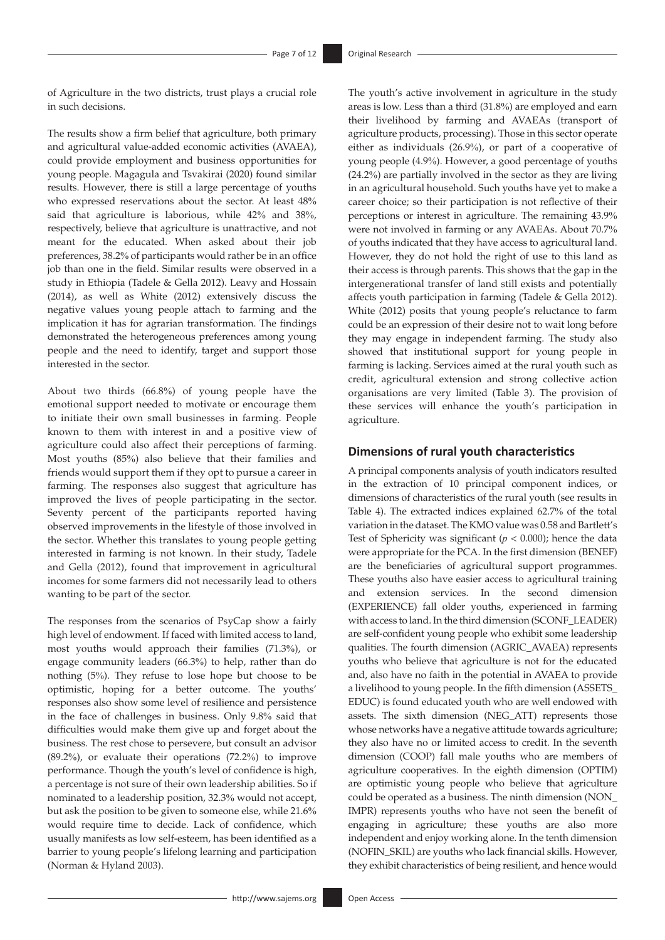of Agriculture in the two districts, trust plays a crucial role in such decisions.

The results show a firm belief that agriculture, both primary and agricultural value-added economic activities (AVAEA), could provide employment and business opportunities for young people. Magagula and Tsvakirai (2020) found similar results. However, there is still a large percentage of youths who expressed reservations about the sector. At least 48% said that agriculture is laborious, while 42% and 38%, respectively, believe that agriculture is unattractive, and not meant for the educated. When asked about their job preferences, 38.2% of participants would rather be in an office job than one in the field. Similar results were observed in a study in Ethiopia (Tadele & Gella 2012). Leavy and Hossain (2014), as well as White (2012) extensively discuss the negative values young people attach to farming and the implication it has for agrarian transformation. The findings demonstrated the heterogeneous preferences among young people and the need to identify, target and support those interested in the sector.

About two thirds (66.8%) of young people have the emotional support needed to motivate or encourage them to initiate their own small businesses in farming. People known to them with interest in and a positive view of agriculture could also affect their perceptions of farming. Most youths (85%) also believe that their families and friends would support them if they opt to pursue a career in farming. The responses also suggest that agriculture has improved the lives of people participating in the sector. Seventy percent of the participants reported having observed improvements in the lifestyle of those involved in the sector. Whether this translates to young people getting interested in farming is not known. In their study, Tadele and Gella (2012), found that improvement in agricultural incomes for some farmers did not necessarily lead to others wanting to be part of the sector.

The responses from the scenarios of PsyCap show a fairly high level of endowment. If faced with limited access to land, most youths would approach their families (71.3%), or engage community leaders (66.3%) to help, rather than do nothing (5%). They refuse to lose hope but choose to be optimistic, hoping for a better outcome. The youths' responses also show some level of resilience and persistence in the face of challenges in business. Only 9.8% said that difficulties would make them give up and forget about the business. The rest chose to persevere, but consult an advisor (89.2%), or evaluate their operations (72.2%) to improve performance. Though the youth's level of confidence is high, a percentage is not sure of their own leadership abilities. So if nominated to a leadership position, 32.3% would not accept, but ask the position to be given to someone else, while 21.6% would require time to decide. Lack of confidence, which usually manifests as low self-esteem, has been identified as a barrier to young people's lifelong learning and participation (Norman & Hyland 2003).

The youth's active involvement in agriculture in the study areas is low. Less than a third (31.8%) are employed and earn their livelihood by farming and AVAEAs (transport of agriculture products, processing). Those in this sector operate either as individuals (26.9%), or part of a cooperative of young people (4.9%). However, a good percentage of youths (24.2%) are partially involved in the sector as they are living in an agricultural household. Such youths have yet to make a career choice; so their participation is not reflective of their perceptions or interest in agriculture. The remaining 43.9% were not involved in farming or any AVAEAs. About 70.7% of youths indicated that they have access to agricultural land. However, they do not hold the right of use to this land as their access is through parents. This shows that the gap in the intergenerational transfer of land still exists and potentially affects youth participation in farming (Tadele & Gella 2012). White (2012) posits that young people's reluctance to farm could be an expression of their desire not to wait long before they may engage in independent farming. The study also showed that institutional support for young people in farming is lacking. Services aimed at the rural youth such as credit, agricultural extension and strong collective action organisations are very limited (Table 3). The provision of these services will enhance the youth's participation in agriculture.

#### **Dimensions of rural youth characteristics**

A principal components analysis of youth indicators resulted in the extraction of 10 principal component indices, or dimensions of characteristics of the rural youth (see results in Table 4). The extracted indices explained 62.7% of the total variation in the dataset. The KMO value was 0.58 and Bartlett's Test of Sphericity was significant ( $p < 0.000$ ); hence the data were appropriate for the PCA. In the first dimension (BENEF) are the beneficiaries of agricultural support programmes. These youths also have easier access to agricultural training and extension services. In the second dimension (EXPERIENCE) fall older youths, experienced in farming with access to land. In the third dimension (SCONF\_LEADER) are self-confident young people who exhibit some leadership qualities. The fourth dimension (AGRIC\_AVAEA) represents youths who believe that agriculture is not for the educated and, also have no faith in the potential in AVAEA to provide a livelihood to young people. In the fifth dimension (ASSETS\_ EDUC) is found educated youth who are well endowed with assets. The sixth dimension (NEG\_ATT) represents those whose networks have a negative attitude towards agriculture; they also have no or limited access to credit. In the seventh dimension (COOP) fall male youths who are members of agriculture cooperatives. In the eighth dimension (OPTIM) are optimistic young people who believe that agriculture could be operated as a business. The ninth dimension (NON\_ IMPR) represents youths who have not seen the benefit of engaging in agriculture; these youths are also more independent and enjoy working alone. In the tenth dimension (NOFIN\_SKIL) are youths who lack financial skills. However, they exhibit characteristics of being resilient, and hence would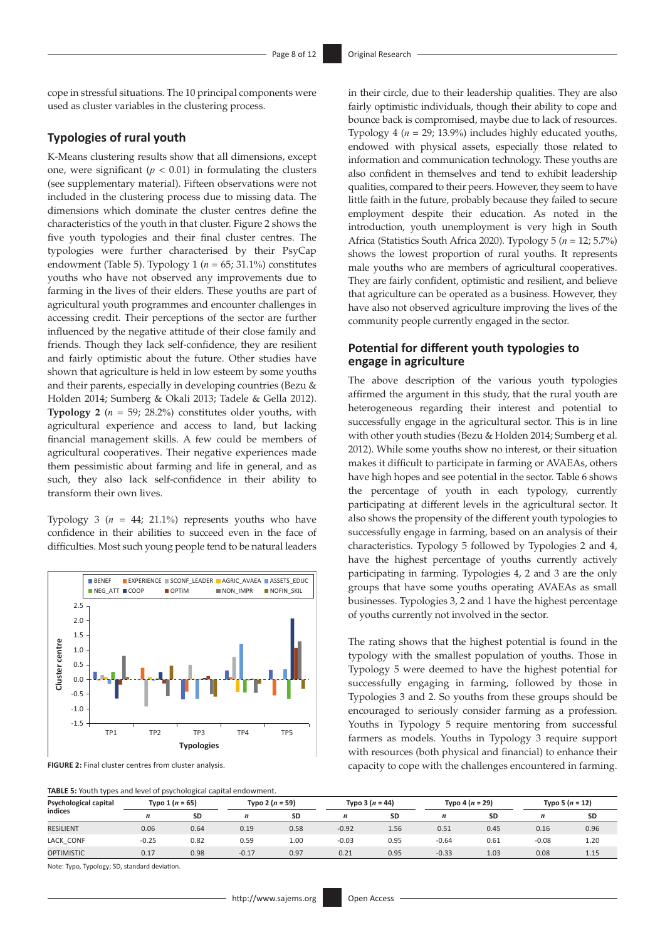cope in stressful situations. The 10 principal components were used as cluster variables in the clustering process.

#### **Typologies of rural youth**

K-Means clustering results show that all dimensions, except one, were significant  $(p < 0.01)$  in formulating the clusters (see supplementary material). Fifteen observations were not included in the clustering process due to missing data. The dimensions which dominate the cluster centres define the characteristics of the youth in that cluster. Figure 2 shows the five youth typologies and their final cluster centres. The typologies were further characterised by their PsyCap endowment (Table 5). Typology 1 (*n* = 65; 31.1%) constitutes youths who have not observed any improvements due to farming in the lives of their elders. These youths are part of agricultural youth programmes and encounter challenges in accessing credit. Their perceptions of the sector are further influenced by the negative attitude of their close family and friends. Though they lack self-confidence, they are resilient and fairly optimistic about the future. Other studies have shown that agriculture is held in low esteem by some youths and their parents, especially in developing countries (Bezu & Holden 2014; Sumberg & Okali 2013; Tadele & Gella 2012). **Typology 2** (*n* = 59; 28.2%) constitutes older youths, with agricultural experience and access to land, but lacking financial management skills. A few could be members of agricultural cooperatives. Their negative experiences made them pessimistic about farming and life in general, and as such, they also lack self-confidence in their ability to transform their own lives.

Typology 3  $(n = 44; 21.1%)$  represents youths who have confidence in their abilities to succeed even in the face of difficulties. Most such young people tend to be natural leaders



**FIGURE 2:** Final cluster centres from cluster analysis.

in their circle, due to their leadership qualities. They are also fairly optimistic individuals, though their ability to cope and bounce back is compromised, maybe due to lack of resources. Typology 4 (*n* = 29; 13.9%) includes highly educated youths, endowed with physical assets, especially those related to information and communication technology. These youths are also confident in themselves and tend to exhibit leadership qualities, compared to their peers. However, they seem to have little faith in the future, probably because they failed to secure employment despite their education. As noted in the introduction, youth unemployment is very high in South Africa (Statistics South Africa 2020). Typology 5 (*n* = 12; 5.7%) shows the lowest proportion of rural youths. It represents male youths who are members of agricultural cooperatives. They are fairly confident, optimistic and resilient, and believe that agriculture can be operated as a business. However, they have also not observed agriculture improving the lives of the community people currently engaged in the sector.

#### **Potential for different youth typologies to engage in agriculture**

The above description of the various youth typologies affirmed the argument in this study, that the rural youth are heterogeneous regarding their interest and potential to successfully engage in the agricultural sector. This is in line with other youth studies (Bezu & Holden 2014; Sumberg et al. 2012). While some youths show no interest, or their situation makes it difficult to participate in farming or AVAEAs, others have high hopes and see potential in the sector. Table 6 shows the percentage of youth in each typology, currently participating at different levels in the agricultural sector. It also shows the propensity of the different youth typologies to successfully engage in farming, based on an analysis of their characteristics. Typology 5 followed by Typologies 2 and 4, have the highest percentage of youths currently actively participating in farming. Typologies 4, 2 and 3 are the only groups that have some youths operating AVAEAs as small businesses. Typologies 3, 2 and 1 have the highest percentage of youths currently not involved in the sector.

The rating shows that the highest potential is found in the typology with the smallest population of youths. Those in Typology 5 were deemed to have the highest potential for successfully engaging in farming, followed by those in Typologies 3 and 2. So youths from these groups should be encouraged to seriously consider farming as a profession. Youths in Typology 5 require mentoring from successful farmers as models. Youths in Typology 3 require support with resources (both physical and financial) to enhance their capacity to cope with the challenges encountered in farming.

| Psychological capital |         | Typo $1(n = 65)$ |                  | Typo 2 $(n = 59)$ |                  | Typo 3 $(n = 44)$ | Typo 5 $(n = 12)$<br>Typo 4 $(n = 29)$ |           |         |      |
|-----------------------|---------|------------------|------------------|-------------------|------------------|-------------------|----------------------------------------|-----------|---------|------|
| indices               | n       | <b>SD</b>        | $\boldsymbol{n}$ | <b>SD</b>         | $\boldsymbol{n}$ | <b>SD</b>         | $\boldsymbol{n}$                       | <b>SD</b> | n       | SD   |
| <b>RESILIENT</b>      | 0.06    | 0.64             | 0.19             | 0.58              | $-0.92$          | 1.56              | 0.51                                   | 0.45      | 0.16    | 0.96 |
| LACK CONF             | $-0.25$ | 0.82             | 0.59             | 1.00              | $-0.03$          | 0.95              | $-0.64$                                | 0.61      | $-0.08$ | 1.20 |
| <b>OPTIMISTIC</b>     | 0.17    | 0.98             | $-0.17$          | 0.97              | 0.21             | 0.95              | $-0.33$                                | 1.03      | 0.08    | 1.15 |

Note: Typo, Typology; SD, standard deviation.

**TABLE 5:** Youth types and level of psychological capital endowment.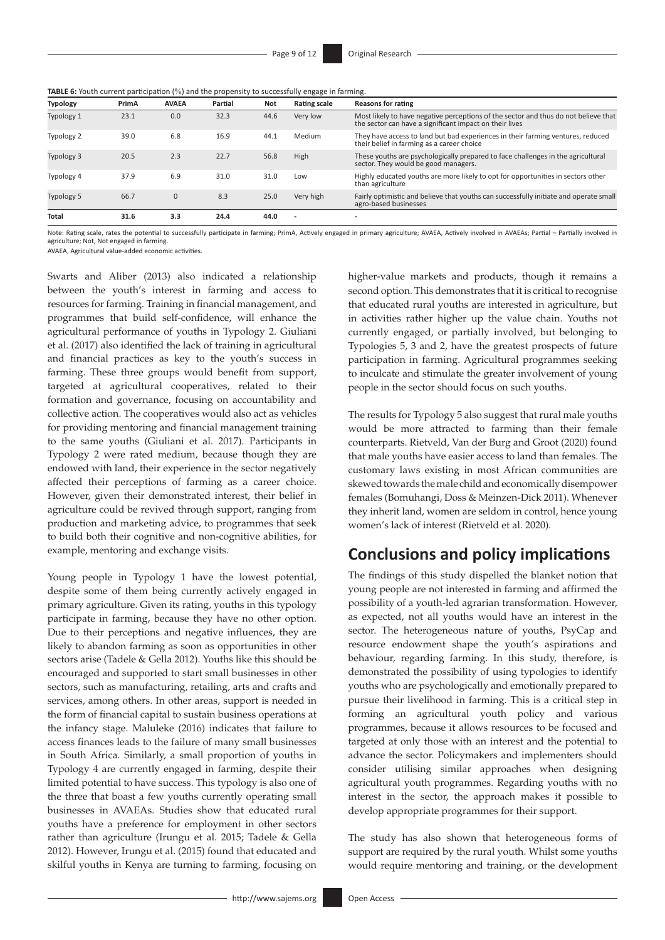| <b>TABLE 6:</b> Youth current participation (%) and the propensity to successfully engage in farming. |  |  |
|-------------------------------------------------------------------------------------------------------|--|--|
|-------------------------------------------------------------------------------------------------------|--|--|

| <b>Typology</b> | PrimA | <b>AVAEA</b> | Partial | <b>Not</b> | <b>Rating scale</b> | <b>Reasons for rating</b>                                                                                                                      |
|-----------------|-------|--------------|---------|------------|---------------------|------------------------------------------------------------------------------------------------------------------------------------------------|
| Typology 1      | 23.1  | 0.0          | 32.3    | 44.6       | Very low            | Most likely to have negative perceptions of the sector and thus do not believe that<br>the sector can have a significant impact on their lives |
| Typology 2      | 39.0  | 6.8          | 16.9    | 44.1       | Medium              | They have access to land but bad experiences in their farming ventures, reduced<br>their belief in farming as a career choice                  |
| Typology 3      | 20.5  | 2.3          | 22.7    | 56.8       | High                | These youths are psychologically prepared to face challenges in the agricultural<br>sector. They would be good managers.                       |
| Typology 4      | 37.9  | 6.9          | 31.0    | 31.0       | Low                 | Highly educated youths are more likely to opt for opportunities in sectors other<br>than agriculture                                           |
| Typology 5      | 66.7  | $\Omega$     | 8.3     | 25.0       | Very high           | Fairly optimistic and believe that youths can successfully initiate and operate small<br>agro-based businesses                                 |
| <b>Total</b>    | 31.6  | 3.3          | 24.4    | 44.0       |                     |                                                                                                                                                |

Note: Rating scale, rates the potential to successfully participate in farming; PrimA, Actively engaged in primary agriculture; AVAEA, Actively involved in AVAEAs; Partial – Partially involved in agriculture; Not, Not engaged in farming.

AVAEA, Agricultural value-added economic activities.

Swarts and Aliber (2013) also indicated a relationship between the youth's interest in farming and access to resources for farming. Training in financial management, and programmes that build self-confidence, will enhance the agricultural performance of youths in Typology 2. Giuliani et al. (2017) also identified the lack of training in agricultural and financial practices as key to the youth's success in farming. These three groups would benefit from support, targeted at agricultural cooperatives, related to their formation and governance, focusing on accountability and collective action. The cooperatives would also act as vehicles for providing mentoring and financial management training to the same youths (Giuliani et al. 2017). Participants in Typology 2 were rated medium, because though they are endowed with land, their experience in the sector negatively affected their perceptions of farming as a career choice. However, given their demonstrated interest, their belief in agriculture could be revived through support, ranging from production and marketing advice, to programmes that seek to build both their cognitive and non-cognitive abilities, for example, mentoring and exchange visits.

Young people in Typology 1 have the lowest potential, despite some of them being currently actively engaged in primary agriculture. Given its rating, youths in this typology participate in farming, because they have no other option. Due to their perceptions and negative influences, they are likely to abandon farming as soon as opportunities in other sectors arise (Tadele & Gella 2012). Youths like this should be encouraged and supported to start small businesses in other sectors, such as manufacturing, retailing, arts and crafts and services, among others. In other areas, support is needed in the form of financial capital to sustain business operations at the infancy stage. Maluleke (2016) indicates that failure to access finances leads to the failure of many small businesses in South Africa. Similarly, a small proportion of youths in Typology 4 are currently engaged in farming, despite their limited potential to have success. This typology is also one of the three that boast a few youths currently operating small businesses in AVAEAs. Studies show that educated rural youths have a preference for employment in other sectors rather than agriculture (Irungu et al. 2015; Tadele & Gella 2012). However, Irungu et al. (2015) found that educated and skilful youths in Kenya are turning to farming, focusing on

higher-value markets and products, though it remains a second option. This demonstrates that it is critical to recognise that educated rural youths are interested in agriculture, but in activities rather higher up the value chain. Youths not currently engaged, or partially involved, but belonging to Typologies 5, 3 and 2, have the greatest prospects of future participation in farming. Agricultural programmes seeking to inculcate and stimulate the greater involvement of young people in the sector should focus on such youths.

The results for Typology 5 also suggest that rural male youths would be more attracted to farming than their female counterparts. Rietveld, Van der Burg and Groot (2020) found that male youths have easier access to land than females. The customary laws existing in most African communities are skewed towards the male child and economically disempower females (Bomuhangi, Doss & Meinzen-Dick 2011). Whenever they inherit land, women are seldom in control, hence young women's lack of interest (Rietveld et al. 2020).

### **Conclusions and policy implications**

The findings of this study dispelled the blanket notion that young people are not interested in farming and affirmed the possibility of a youth-led agrarian transformation. However, as expected, not all youths would have an interest in the sector. The heterogeneous nature of youths, PsyCap and resource endowment shape the youth's aspirations and behaviour, regarding farming. In this study, therefore, is demonstrated the possibility of using typologies to identify youths who are psychologically and emotionally prepared to pursue their livelihood in farming. This is a critical step in forming an agricultural youth policy and various programmes, because it allows resources to be focused and targeted at only those with an interest and the potential to advance the sector. Policymakers and implementers should consider utilising similar approaches when designing agricultural youth programmes. Regarding youths with no interest in the sector, the approach makes it possible to develop appropriate programmes for their support.

The study has also shown that heterogeneous forms of support are required by the rural youth. Whilst some youths would require mentoring and training, or the development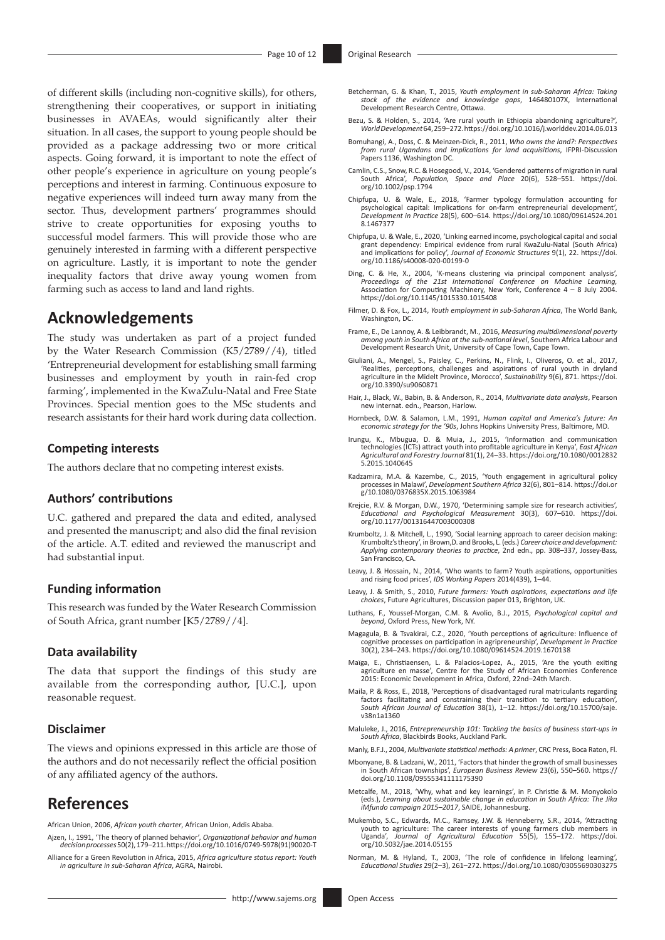of different skills (including non-cognitive skills), for others, strengthening their cooperatives, or support in initiating businesses in AVAEAs, would significantly alter their situation. In all cases, the support to young people should be provided as a package addressing two or more critical aspects. Going forward, it is important to note the effect of other people's experience in agriculture on young people's perceptions and interest in farming. Continuous exposure to negative experiences will indeed turn away many from the sector. Thus, development partners' programmes should strive to create opportunities for exposing youths to successful model farmers. This will provide those who are genuinely interested in farming with a different perspective on agriculture. Lastly, it is important to note the gender inequality factors that drive away young women from farming such as access to land and land rights.

### **Acknowledgements**

The study was undertaken as part of a project funded by the Water Research Commission (K5/2789//4), titled 'Entrepreneurial development for establishing small farming businesses and employment by youth in rain-fed crop farming', implemented in the KwaZulu-Natal and Free State Provinces. Special mention goes to the MSc students and research assistants for their hard work during data collection.

#### **Competing interests**

The authors declare that no competing interest exists.

#### **Authors' contributions**

U.C. gathered and prepared the data and edited, analysed and presented the manuscript; and also did the final revision of the article. A.T. edited and reviewed the manuscript and had substantial input.

#### **Funding information**

This research was funded by the Water Research Commission of South Africa, grant number [K5/2789//4].

#### **Data availability**

The data that support the findings of this study are available from the corresponding author, [U.C.], upon reasonable request.

#### **Disclaimer**

The views and opinions expressed in this article are those of the authors and do not necessarily reflect the official position of any affiliated agency of the authors.

### **References**

African Union, 2006, *African youth charter*, African Union, Addis Ababa.

Ajzen, I., 1991, 'The theory of planned behavior', *Organizational behavior and human decision processes* 50(2), 179–211. [https://doi.org/10.1016/0749-5978\(91\)90020-T](https://doi.org/10.1016/0749-5978(91)90020-T)

Alliance for a Green Revolution in Africa, 2015, *Africa agriculture status report: Youth in agriculture in sub-Saharan Africa*, AGRA, Nairobi.

- Betcherman, G. & Khan, T., 2015, *Youth employment in sub-Saharan Africa: Taking stock of the evidence and knowledge gaps*, 146480107X, International Development Research Centre, Ottawa.
- Bezu, S. & Holden, S., 2014, 'Are rural youth in Ethiopia abandoning agriculture?', *World Development* 64, 259–272.<https://doi.org/10.1016/j.worlddev.2014.06.013>
- Bomuhangi, A., Doss, C. & Meinzen-Dick, R., 2011, *Who owns the land?: Perspectives from rural Ugandans and implications for land acquisitions*, IFPRI-Discussion Papers 1136, Washington DC.
- Camlin, C.S., Snow, R.C. & Hosegood, V., 2014, 'Gendered patterns of migration in rural South Africa', *Population, Space and Place* 20(6), 528–551. [https://doi.](https://doi.org/10.1002/psp.1794) [org/10.1002/psp.1794](https://doi.org/10.1002/psp.1794)
- Chipfupa, U. & Wale, E., 2018, 'Farmer typology formulation accounting for<br>psychological capital: Implications for on-farm entrepreneurial development',<br>Development in Practice 28(5), 600–614. https://doi.org/10.1080/09614 [8.1467377](https://doi.org/10.1080/09614524.2018.1467377)
- Chipfupa, U. & Wale, E., 2020, 'Linking earned income, psychological capital and social grant dependency: Empirical evidence from rural KwaZulu-Natal (South Africa) and implications for policy', *Journal of Economic Structures* 9(1), 22. [https://doi.](https://doi.org/10.1186/s40008-020-00199-0) [org/10.1186/s40008-020-00199-0](https://doi.org/10.1186/s40008-020-00199-0)
- Ding, C. & He, X., 2004, 'K-means clustering via principal component analysis',<br>Proceedings of the 21st International Conference on Machine Learning,<br>Association for Computing Machinery, New York, Conference 4 8 July 200
- Filmer, D. & Fox, L., 2014, *Youth employment in sub-Saharan Africa*, The World Bank, Washington, DC.
- Frame, E., De Lannoy, A. & Leibbrandt, M., 2016, *Measuring multidimensional poverty among youth in South Africa at the sub-national level*, Southern Africa Labour and Development Research Unit, University of Cape Town, Cape Town.
- Giuliani, A., Mengel, S., Paisley, C., Perkins, N., Flink, I., Oliveros, O. et al., 2017, 'Realities, perceptions, challenges and aspirations of rural youth in dryland agriculture in the Midelt Province, Morocco', *Sustainability* 9(6), 871. [https://doi.](https://doi.org/10.3390/su9060871) [org/10.3390/su9060871](https://doi.org/10.3390/su9060871)
- Hair, J., Black, W., Babin, B. & Anderson, R., 2014, *Multivariate data analysis*, Pearson new internat. edn., Pearson, Harlow.
- Hornbeck, D.W. & Salamon, L.M., 1991, *Human capital and America's future: An economic strategy for the '90s*, Johns Hopkins University Press, Baltimore, MD.
- Irungu, K., Mbugua, D. & Muia, J., 2015, 'Information and communication technologies (ICTs) attract youth into profitable agriculture in Kenya', *East African Agricultural and Forestry Journal* 81(1), 24–33. [https://doi.org/10.1080/0012832](https://doi.org/10.1080/00128325.2015.1040645) [5.2015.1040645](https://doi.org/10.1080/00128325.2015.1040645)
- Kadzamira, M.A. & Kazembe, C., 2015, 'Youth engagement in agricultural policy processes in Malawi', *Development Southern Africa* 32(6), 801–814. [https://doi.or](https://doi.org/10.1080/0376835X.2015.1063984) [g/10.1080/0376835X.2015.1063984](https://doi.org/10.1080/0376835X.2015.1063984)
- Krejcie, R.V. & Morgan, D.W., 1970, 'Determining sample size for research activities', *Educational and Psychological Measurement* 30(3), 607–610. [https://doi.](https://doi.org/10.1177/001316447003000308) [org/10.1177/001316447003000308](https://doi.org/10.1177/001316447003000308)
- Krumboltz, J. & Mitchell, L., 1990, 'Social learning approach to career decision making: Krumboltz's theory', in Brown,D. and Brooks, L. (eds.) *Career choice and development: Applying contemporary theories to practice*, 2nd edn., pp. 308–337, Jossey-Bass, San Francisco, CA.
- Leavy, J. & Hossain, N., 2014, 'Who wants to farm? Youth aspirations, opportunities and rising food prices', *IDS Working Papers* 2014(439), 1–44.
- Leavy, J. & Smith, S., 2010, *Future farmers: Youth aspirations, expectations and life choices*, Future Agricultures, Discussion paper 013, Brighton, UK.
- Luthans, F., Youssef-Morgan, C.M. & Avolio, B.J., 2015, *Psychological capital and beyond*, Oxford Press, New York, NY.
- Magagula, B. & Tsvakirai, C.Z., 2020, 'Youth perceptions of agriculture: Influence of cognitive processes on participation in agripreneurship', *Development in Practice* 30(2), 234–243.<https://doi.org/10.1080/09614524.2019.1670138>
- Maïga, E., Christiaensen, L. & Palacios-Lopez, A., 2015, 'Are the youth exiting agriculture en masse', Centre for the Study of African Economies Conference 2015: Economic Development in Africa, Oxford, 22nd–24th March.
- Maila, P. & Ross, E., 2018, 'Perceptions of disadvantaged rural matriculants regarding factors facilitating and constraining their transition to tertiary education', *South African Journal of Education* 38(1), 1–12. [https://doi.org/10.15700/saje.](https://doi.org/10.15700/saje.v38n1a1360) [v38n1a1360](https://doi.org/10.15700/saje.v38n1a1360)
- Maluleke, J., 2016, *Entrepreneurship 101: Tackling the basics of business start-ups in South Africa*, Blackbirds Books, Auckland Park.
- Manly, B.F.J., 2004, *Multivariate statistical methods: A primer*, CRC Press, Boca Raton, Fl.
- Mbonyane, B. & Ladzani, W., 2011, 'Factors that hinder the growth of small businesses in South African townships', *European Business Review* 23(6), 550–560. [https://](https://doi.org/10.1108/09555341111175390) [doi.org/10.1108/09555341111175390](https://doi.org/10.1108/09555341111175390)
- Metcalfe, M., 2018, 'Why, what and key learnings', in P. Christie & M. Monyokolo (eds.), *Learning about sustainable change in education in South Africa: The Jika iMfundo campaign 2015–2017*, SAIDE, Johannesburg.
- Mukembo, S.C., Edwards, M.C., Ramsey, J.W. & Henneberry, S.R., 2014, 'Attracting youth to agriculture: The career interests of young farmers club members in Uganda', *Journal of Agricultural Education* 55(5), 155–172. [https://doi.](https://doi.org/10.5032/jae.2014.05155) [org/10.5032/jae.2014.05155](https://doi.org/10.5032/jae.2014.05155)
- Norman, M. & Hyland, T., 2003, 'The role of confidence in lifelong learning', *Educational Studies* 29(2–3), 261–272. <https://doi.org/10.1080/03055690303275>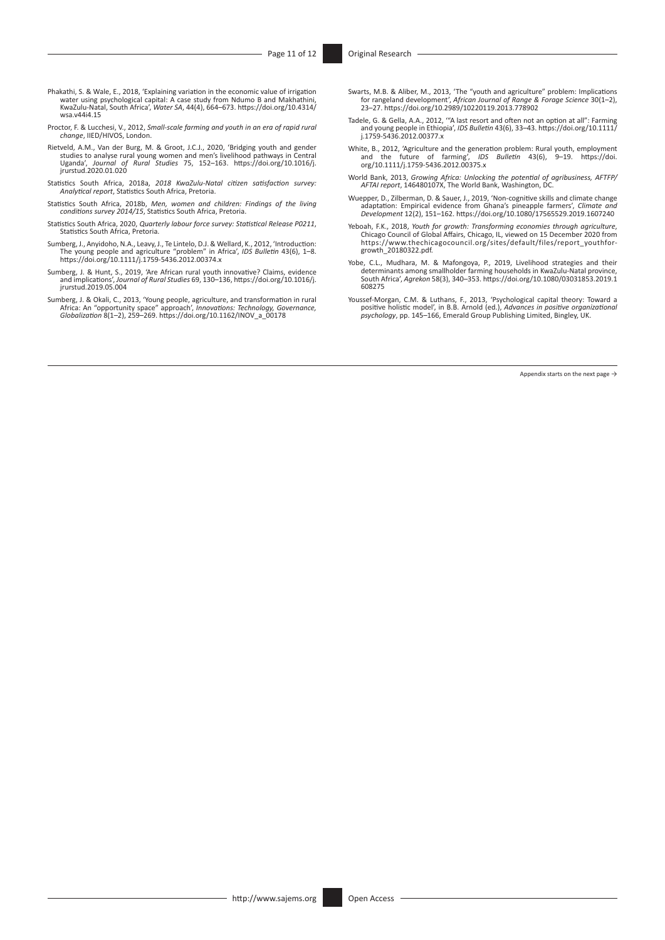- Phakathi, S. & Wale, E., 2018, 'Explaining variation in the economic value of irrigation<br>water using psychological capital: A case study from Ndumo B and Makhathini,<br>KwaZulu-Natal, South Africa', Water SA, 44(4), 664–673. [wsa.v44i4.15](https://doi.org/10.4314/wsa.v44i4.15)
- Proctor, F. & Lucchesi, V., 2012, *Small-scale farming and youth in an era of rapid rural change*, IIED/HIVOS, London.
- Rietveld, A.M., Van der Burg, M. & Groot, J.C.J., 2020, 'Bridging youth and gender<br>studies to analyse rural young women and men's livelihood pathways in Central<br>Uganda', Journal of Rural Studies 75, 152-163. https://doi.or
- Statistics South Africa, 2018a, *2018 KwaZulu-Natal citizen satisfaction survey: Analytical report*, Statistics South Africa, Pretoria.
- Statistics South Africa, 2018b, *Men, women and children: Findings of the living conditions survey 2014/15*, Statistics South Africa, Pretoria.
- Statistics South Africa, 2020, *Quarterly labour force survey: Statistical Release P0211*, Statistics South Africa, Pretoria.
- Sumberg, J., Anyidoho, N.A., Leavy, J., Te Lintelo, D.J. & Wellard, K., 2012, 'Introduction:<br>The young people and agriculture "problem" in Africa', *IDS Bulletin* 43(6), 1–8.<br>https://doi.org/10.1111/j.1759-5436.2012.00374.
- Sumberg, J. & Hunt, S., 2019, 'Are African rural youth innovative? Claims, evidence and implications', *Journal of Rural Studies* 69, 130–136, [https://doi.org/10.1016/j.](https://doi.org/10.1016/j.jrurstud.2019.05.004) [jrurstud.2019.05.004](https://doi.org/10.1016/j.jrurstud.2019.05.004)
- Sumberg, J. & Okali, C., 2013, 'Young people, agriculture, and transformation in rural<br>Africa: An "opportunity space" approach', *Innovations: Technology, Governance,*<br>Globalization 8(1–2), 259–269. https://doi.org/10.1162
- Swarts, M.B. & Aliber, M., 2013, 'The "youth and agriculture" problem: Implications for rangeland development', *African Journal of Range & Forage Science* 30(1–2), 23–27.<https://doi.org/10.2989/10220119.2013.778902>
- Tadele, G. & Gella, A.A., 2012, '"A last resort and often not an option at all": Farming and young people in Ethiopia', *IDS Bulletin* 43(6), 33–43. [https://doi.org/10.1111/](https://doi.org/10.1111/j.1759-5436.2012.00377.x) [j.1759-5436.2012.00377.x](https://doi.org/10.1111/j.1759-5436.2012.00377.x)
- White, B., 2012, 'Agriculture and the generation problem: Rural youth, employment<br>and the future of farming', *IDS Bulletin* 43(6), 9–19. [https://doi.](https://doi.org/10.1111/j.1759-5436.2012.00375.x)<br>[org/10.1111/j.1759-5436.2012.00375.x](https://doi.org/10.1111/j.1759-5436.2012.00375.x)
- World Bank, 2013, *Growing Africa: Unlocking the potential of agribusiness, AFTFP/ AFTAI report*, 146480107X, The World Bank, Washington, DC.
- Wuepper, D., Zilberman, D. & Sauer, J., 2019, 'Non-cognitive skills and climate change<br>adaptation: Empirical evidence from Ghana's pineapple farmers', Climate and<br>Development 12(2), 151–162. https://doi.org/10.1080/1756552
- Yeboah, F.K., 2018, *Youth for growth: Transforming economies through agriculture*, Chicago Council of Global Affairs, Chicago, IL, viewed on 15 December 2020 from [https://www.thechicagocouncil.org/sites/default/files/report\\_youthfor-](https://www.thechicagocouncil.org/sites/default/files/report_youthfor-growth_20180322.pdf)[growth\\_20180322.pdf](https://www.thechicagocouncil.org/sites/default/files/report_youthfor-growth_20180322.pdf).
- Yobe, C.L., Mudhara, M. & Mafongoya, P., 2019, Livelihood strategies and their determinants among smallholder farming households in KwaZulu-Natal province, South Africa', *Agrekon* 58(3), 340–353. [https://doi.org/10.1080/03031853.2019.1](https://doi.org/10.1080/03031853.2019.1608275) [608275](https://doi.org/10.1080/03031853.2019.1608275)
- Youssef-Morgan, C.M. & Luthans, F., 2013, 'Psychological capital theory: Toward a positive holistic model', in B.B. Arnold (ed.), *Advances in positive organizational psychology*, pp. 145–166, Emerald Group Publishing Limited, Bingley, UK.

Appendix starts on the next page  $\rightarrow$